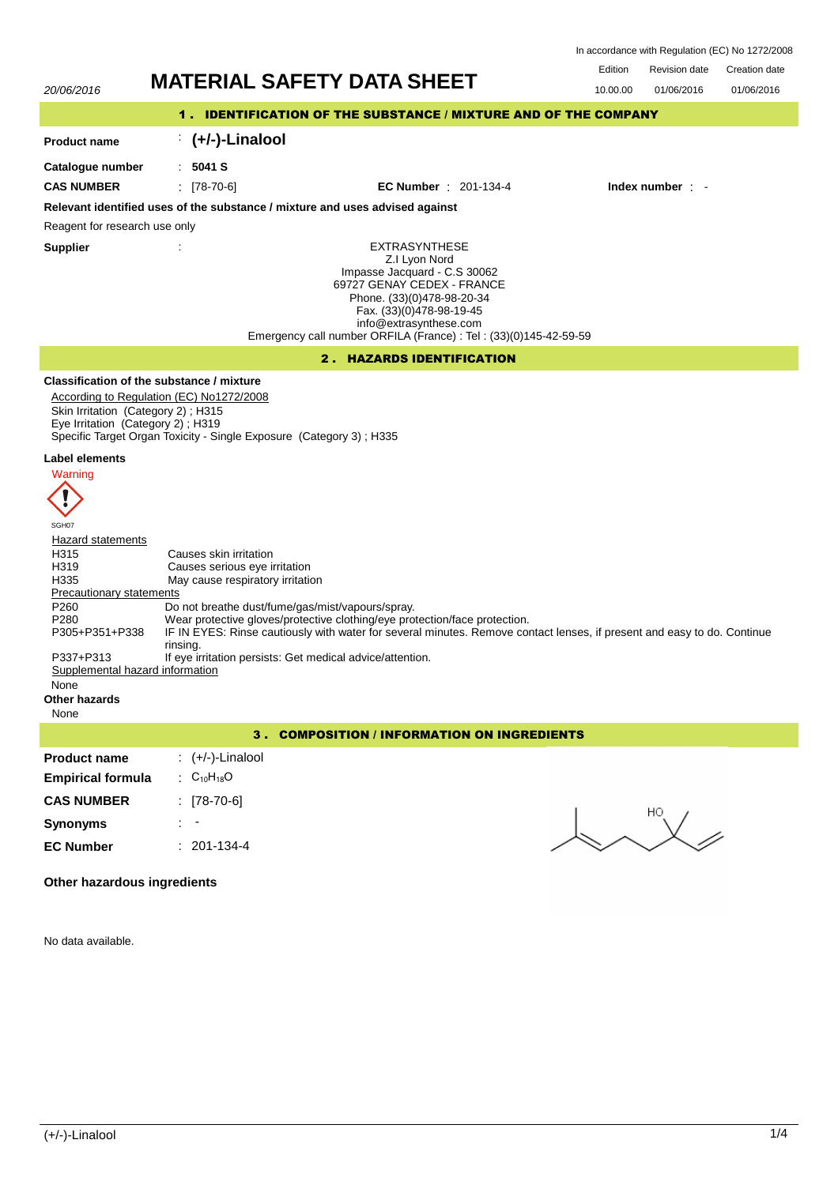| In accordance with Regulation (EC) No 1272/2008 |  |
|-------------------------------------------------|--|
|-------------------------------------------------|--|



No data available.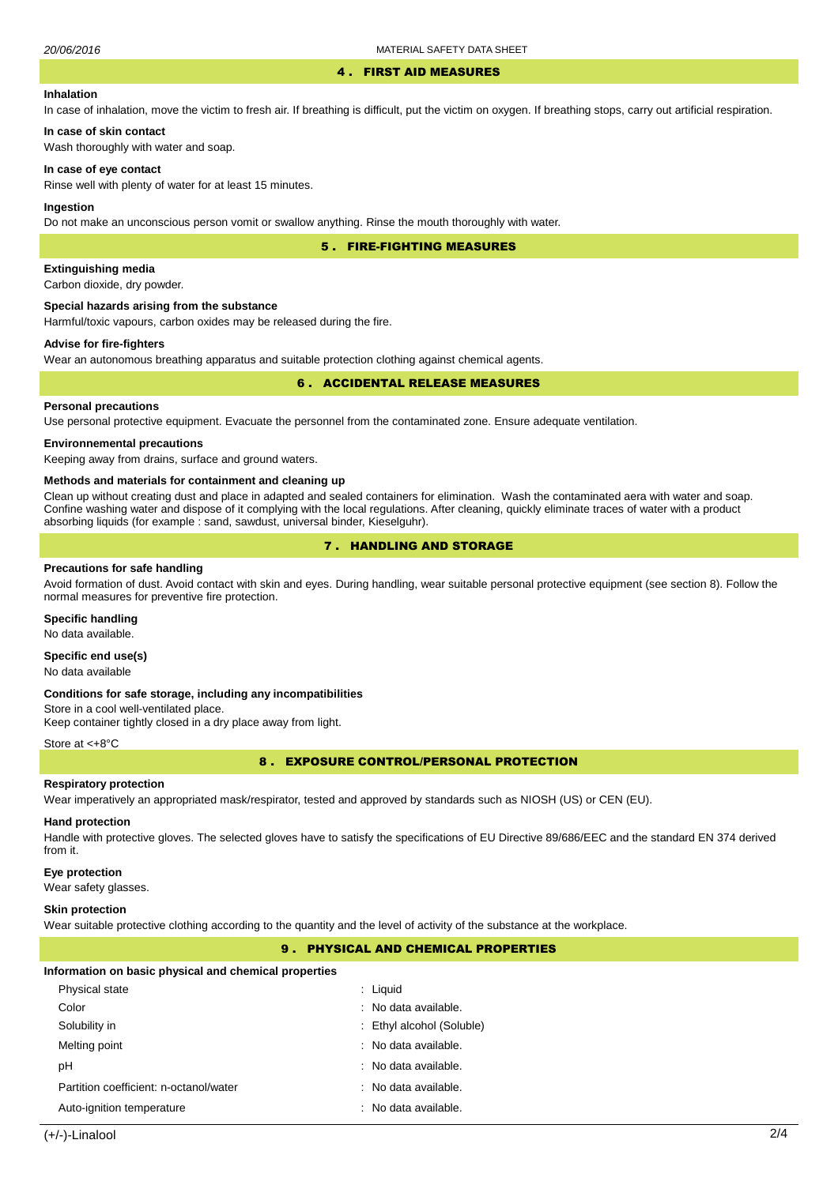#### 4 . FIRST AID MEASURES

## **Inhalation**

In case of inhalation, move the victim to fresh air. If breathing is difficult, put the victim on oxygen. If breathing stops, carry out artificial respiration.

**In case of skin contact** Wash thoroughly with water and soap.

#### **In case of eye contact**

Rinse well with plenty of water for at least 15 minutes.

#### **Ingestion**

Do not make an unconscious person vomit or swallow anything. Rinse the mouth thoroughly with water.

5 . FIRE-FIGHTING MEASURES

## **Extinguishing media**

Carbon dioxide, dry powder.

#### **Special hazards arising from the substance**

Harmful/toxic vapours, carbon oxides may be released during the fire.

## **Advise for fire-fighters**

Wear an autonomous breathing apparatus and suitable protection clothing against chemical agents.

## 6 . ACCIDENTAL RELEASE MEASURES

## **Personal precautions**

Use personal protective equipment. Evacuate the personnel from the contaminated zone. Ensure adequate ventilation.

### **Environnemental precautions**

Keeping away from drains, surface and ground waters.

#### **Methods and materials for containment and cleaning up**

Clean up without creating dust and place in adapted and sealed containers for elimination. Wash the contaminated aera with water and soap. Confine washing water and dispose of it complying with the local regulations. After cleaning, quickly eliminate traces of water with a product absorbing liquids (for example : sand, sawdust, universal binder, Kieselguhr).

# 7 . HANDLING AND STORAGE

### **Precautions for safe handling**

Avoid formation of dust. Avoid contact with skin and eyes. During handling, wear suitable personal protective equipment (see section 8). Follow the normal measures for preventive fire protection.

## **Specific handling**

No data available.

## **Specific end use(s)**

No data available

#### **Conditions for safe storage, including any incompatibilities**

Store in a cool well-ventilated place. Keep container tightly closed in a dry place away from light.

#### Store at <+8°C

8 . EXPOSURE CONTROL/PERSONAL PROTECTION

#### **Respiratory protection**

Wear imperatively an appropriated mask/respirator, tested and approved by standards such as NIOSH (US) or CEN (EU).

### **Hand protection**

Handle with protective gloves. The selected gloves have to satisfy the specifications of EU Directive 89/686/EEC and the standard EN 374 derived from it.

#### **Eye protection**

Wear safety glasses.

#### **Skin protection**

Wear suitable protective clothing according to the quantity and the level of activity of the substance at the workplace.

## 9 . PHYSICAL AND CHEMICAL PROPERTIES

#### **Information on basic physical and chemical properties**

| Physical state                         | : Liguid                        |
|----------------------------------------|---------------------------------|
| Color                                  | $:$ No data available.          |
| Solubility in                          | : Ethyl alcohol (Soluble)       |
| Melting point                          | $\therefore$ No data available. |
| рH                                     | $\therefore$ No data available. |
| Partition coefficient: n-octanol/water | : No data available.            |
| Auto-ignition temperature              | : No data available.            |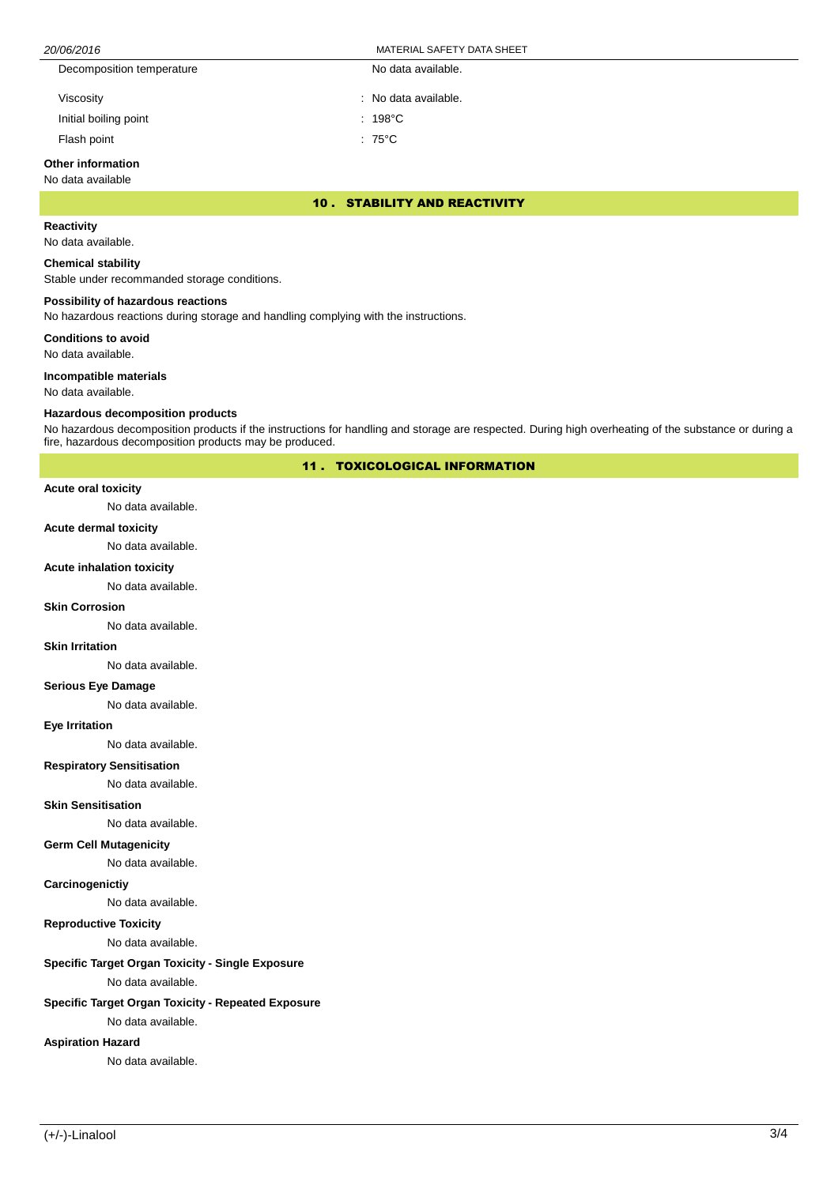| 20/06/2016                | MATERIAL SAFETY DATA SHEET |  |  |
|---------------------------|----------------------------|--|--|
| Decomposition temperature | No data available.         |  |  |
| Viscosity                 | : No data available.       |  |  |
| Initial boiling point     | $: 198^{\circ}$ C          |  |  |
| Flash point               | $:75^{\circ}$ C            |  |  |

# **Other information**

No data available

10 . STABILITY AND REACTIVITY

# **Reactivity**

No data available.

## **Chemical stability**

Stable under recommanded storage conditions.

## **Possibility of hazardous reactions**

No hazardous reactions during storage and handling complying with the instructions.

**Conditions to avoid**

No data available.

## **Incompatible materials**

No data available.

## **Hazardous decomposition products**

No hazardous decomposition products if the instructions for handling and storage are respected. During high overheating of the substance or during a fire, hazardous decomposition products may be produced.

11 . TOXICOLOGICAL INFORMATION

#### **Acute oral toxicity**

No data available.

## **Acute dermal toxicity**

No data available.

## **Acute inhalation toxicity**

No data available.

## **Skin Corrosion**

No data available.

#### **Skin Irritation**

No data available.

# **Serious Eye Damage**

No data available.

#### **Eye Irritation**

No data available.

## **Respiratory Sensitisation**

No data available.

#### **Skin Sensitisation**

No data available.

## **Germ Cell Mutagenicity**

No data available.

## **Carcinogenictiy**

No data available.

# **Reproductive Toxicity**

No data available.

# **Specific Target Organ Toxicity - Single Exposure**

No data available.

# **Specific Target Organ Toxicity - Repeated Exposure**

No data available.

# **Aspiration Hazard**

No data available.